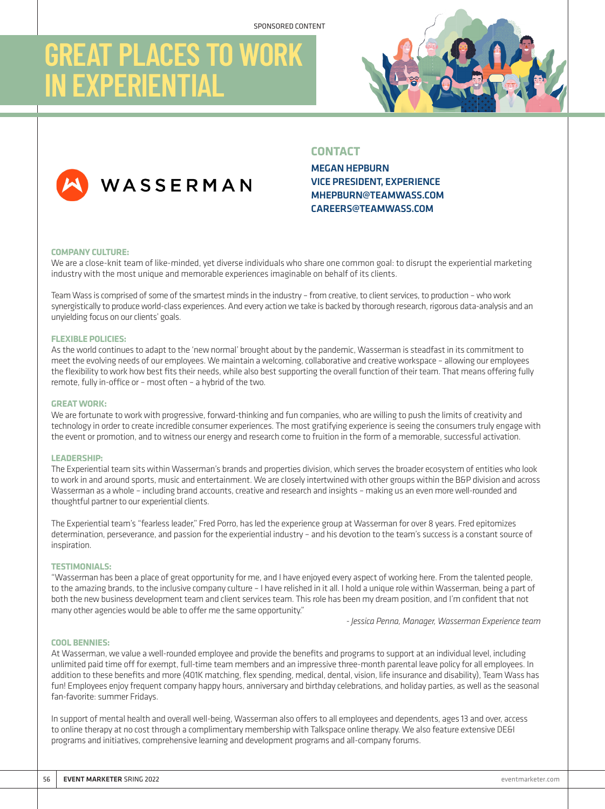# **GREAT PLACES TO WOR IN EXPERIENTIAL**

WASSERMAN



## **CONTACT**



# MEGAN HEPBURN VICE PRESIDENT, EXPERIENCE MHEPBURN@TEAMWASS.COM CAREERS@TEAMWASS.COM

## **COMPANY CULTURE:**

We are a close-knit team of like-minded, yet diverse individuals who share one common goal: to disrupt the experiential marketing industry with the most unique and memorable experiences imaginable on behalf of its clients.

Team Wass is comprised of some of the smartest minds in the industry – from creative, to client services, to production – who work synergistically to produce world-class experiences. And every action we take is backed by thorough research, rigorous data-analysis and an unyielding focus on our clients' goals.

## **FLEXIBLE POLICIES:**

As the world continues to adapt to the 'new normal' brought about by the pandemic, Wasserman is steadfast in its commitment to meet the evolving needs of our employees. We maintain a welcoming, collaborative and creative workspace – allowing our employees the flexibility to work how best fits their needs, while also best supporting the overall function of their team. That means offering fully remote, fully in-office or – most often – a hybrid of the two.

## **GREAT WORK:**

We are fortunate to work with progressive, forward-thinking and fun companies, who are willing to push the limits of creativity and technology in order to create incredible consumer experiences. The most gratifying experience is seeing the consumers truly engage with the event or promotion, and to witness our energy and research come to fruition in the form of a memorable, successful activation.

### **LEADERSHIP:**

The Experiential team sits within Wasserman's brands and properties division, which serves the broader ecosystem of entities who look to work in and around sports, music and entertainment. We are closely intertwined with other groups within the B&P division and across Wasserman as a whole – including brand accounts, creative and research and insights – making us an even more well-rounded and thoughtful partner to our experiential clients.

The Experiential team's "fearless leader," Fred Porro, has led the experience group at Wasserman for over 8 years. Fred epitomizes determination, perseverance, and passion for the experiential industry – and his devotion to the team's success is a constant source of inspiration.

## **TESTIMONIALS:**

"Wasserman has been a place of great opportunity for me, and I have enjoyed every aspect of working here. From the talented people, to the amazing brands, to the inclusive company culture – I have relished in it all. I hold a unique role within Wasserman, being a part of both the new business development team and client services team. This role has been my dream position, and I'm confident that not many other agencies would be able to offer me the same opportunity."

*- Jessica Penna, Manager, Wasserman Experience team*

## **COOL BENNIES:**

At Wasserman, we value a well-rounded employee and provide the benefits and programs to support at an individual level, including unlimited paid time off for exempt, full-time team members and an impressive three-month parental leave policy for all employees. In addition to these benefits and more (401K matching, flex spending, medical, dental, vision, life insurance and disability), Team Wass has fun! Employees enjoy frequent company happy hours, anniversary and birthday celebrations, and holiday parties, as well as the seasonal fan-favorite: summer Fridays.

In support of mental health and overall well-being, Wasserman also offers to all employees and dependents, ages 13 and over, access to online therapy at no cost through a complimentary membership with Talkspace online therapy. We also feature extensive DE&I programs and initiatives, comprehensive learning and development programs and all-company forums.